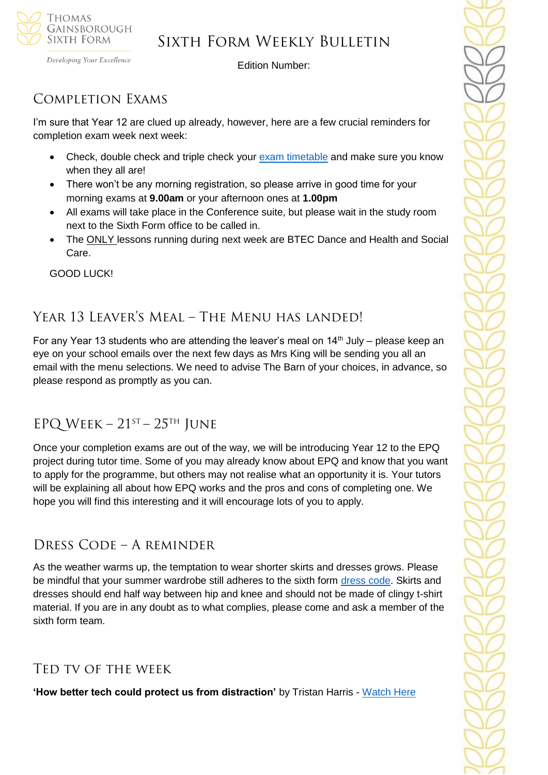

Developing Your Excellence

Edition Number:

## Completion Exams

I'm sure that Year 12 are clued up already, however, here are a few crucial reminders for completion exam week next week:

- Check, double check and triple check your [exam timetable](https://tgschool.net/sixth-form/y12-completion-exam-timetable-june-2021) and make sure you know when they all are!
- There won't be any morning registration, so please arrive in good time for your morning exams at **9.00am** or your afternoon ones at **1.00pm**
- All exams will take place in the Conference suite, but please wait in the study room next to the Sixth Form office to be called in.
- The ONLY lessons running during next week are BTEC Dance and Health and Social Care.

GOOD LUCK!

## Year 13 Leaver's Meal – The Menu has landed!

For any Year 13 students who are attending the leaver's meal on  $14<sup>th</sup>$  July – please keep an eye on your school emails over the next few days as Mrs King will be sending you all an email with the menu selections. We need to advise The Barn of your choices, in advance, so please respond as promptly as you can.

## EPQ WEEK –  $21^{ST}$  –  $25^{TH}$  JUNE

Once your completion exams are out of the way, we will be introducing Year 12 to the EPQ project during tutor time. Some of you may already know about EPQ and know that you want to apply for the programme, but others may not realise what an opportunity it is. Your tutors will be explaining all about how EPQ works and the pros and cons of completing one. We hope you will find this interesting and it will encourage lots of you to apply.

### Dress Code – A reminder

As the weather warms up, the temptation to wear shorter skirts and dresses grows. Please be mindful that your summer wardrobe still adheres to the sixth form [dress code.](https://tgschool.net/sixth-form/dress-code) Skirts and dresses should end half way between hip and knee and should not be made of clingy t-shirt material. If you are in any doubt as to what complies, please come and ask a member of the sixth form team.

### Ted tv of the week

**'How better tech could protect us from distraction'** by Tristan Harris - [Watch Here](https://www.ted.com/talks/tristan_harris_how_better_tech_could_protect_us_from_distraction?rid=unIhOWM0lEr7&utm_source=recommendation&utm_medium=email&utm_campaign=explore&utm_term=watchNow)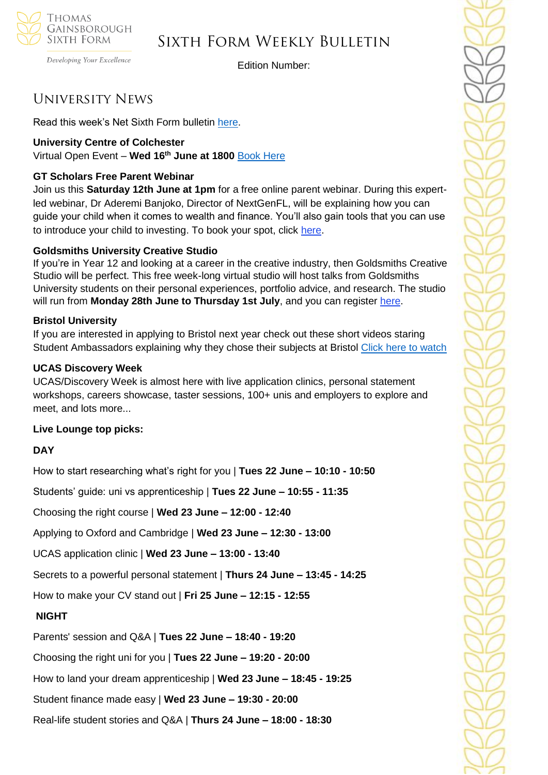

#### Developing Your Excellence

### Sixth Form Weekly Bulletin

Edition Number:

### University News

Read this week's Net Sixth Form bulletin [here.](https://us5.campaign-archive.com/?u=8dedc07ce580600fe618f38c3&id=09f0505650&e=51b5a4fd55)

#### **University Centre of Colchester**

Virtual Open Event – **Wed 16th June at 1800** [Book Here](https://www.colchester.ac.uk/ucc-virtual-open-event/?mc_cid=7521771baf&mc_eid=57ab836060)

#### **GT Scholars Free Parent Webinar**

Join us this **Saturday 12th June at 1pm** for a free online parent webinar. During this expertled webinar, Dr Aderemi Banjoko, Director of NextGenFL, will be explaining how you can guide your child when it comes to wealth and finance. You'll also gain tools that you can use to introduce your child to investing. To book your spot, click [here.](https://5i9pf.r.a.d.sendibm1.com/mk/cl/f/o97iu_n1RGCOmVEt71zap4sbyg_JAjYpIDUNao-HmzyW9btCyChbtwsDL5_FeHk9SmZGU_udIHhP3Jf7WT1KRr9SrlnkKOuOYcGR7LC8mZxBqcND4dsrZ7JNQXTiBOwhnnWhh900zMJExufybLadEvRm5ahnp3s-Vtf3OC9dk5zrm6RnVNecKozu7a1qzktlRBlZJbgk1orgT2AtN_CJeBVqvZ1k3XQYN1MkxdChLoIunyERll5E2g)

#### **Goldsmiths University Creative Studio**

If you're in Year 12 and looking at a career in the creative industry, then Goldsmiths Creative Studio will be perfect. This free week-long virtual studio will host talks from Goldsmiths University students on their personal experiences, portfolio advice, and research. The studio will run from **Monday 28th June to Thursday 1st July**, and you can register [here.](https://5i9pf.r.a.d.sendibm1.com/mk/cl/f/9s44UVPLBs4o8McrnVTrb_-SGCSbeGiDFtycy5py1L7zgg4lFZENAmIDH8itNj2QMAwUZWcv6DID7ji4FNxx1yv0DAVnbRaIkVUKxOCTvKp38EkjOo1heit1yx8dvSeOXgbhZyAICrP75wpEcJB_qt_OJ45OS4nWy9_pjvkLY4QRmdTHutstT2KJvcGyo06P7ltPay4Hijm7zMCmbykj9fc0kwrWEJdZrCXqJ-gZdU1JyyEReB54)

#### **Bristol University**

If you are interested in applying to Bristol next year check out these short videos staring Student Ambassadors explaining why they chose their subjects at Bristol [Click here to watch](https://www.youtube.com/playlist?list=PLFZ6Q-G4wIXDP840mWySs8vQktoNRNica)

#### **UCAS Discovery Week**

UCAS/Discovery Week is almost here with live application clinics, personal statement workshops, careers showcase, taster sessions, 100+ unis and employers to explore and meet, and lots more...

#### **Live Lounge top picks:**

#### **DAY**

How to start researching what's right for you | **Tues 22 June – 10:10 - 10:50**

Students' guide: uni vs apprenticeship | **Tues 22 June – 10:55 - 11:35**

Choosing the right course | **Wed 23 June – 12:00 - 12:40**

Applying to Oxford and Cambridge | **Wed 23 June – 12:30 - 13:00**

UCAS application clinic | **Wed 23 June – 13:00 - 13:40**

Secrets to a powerful personal statement | **Thurs 24 June – 13:45 - 14:25**

How to make your CV stand out | **Fri 25 June – 12:15 - 12:55**

#### **NIGHT**

Parents' session and Q&A | **Tues 22 June – 18:40 - 19:20**

Choosing the right uni for you | **Tues 22 June – 19:20 - 20:00**

How to land your dream apprenticeship | **Wed 23 June – 18:45 - 19:25**

Student finance made easy | **Wed 23 June – 19:30 - 20:00**

Real-life student stories and Q&A | **Thurs 24 June – 18:00 - 18:30**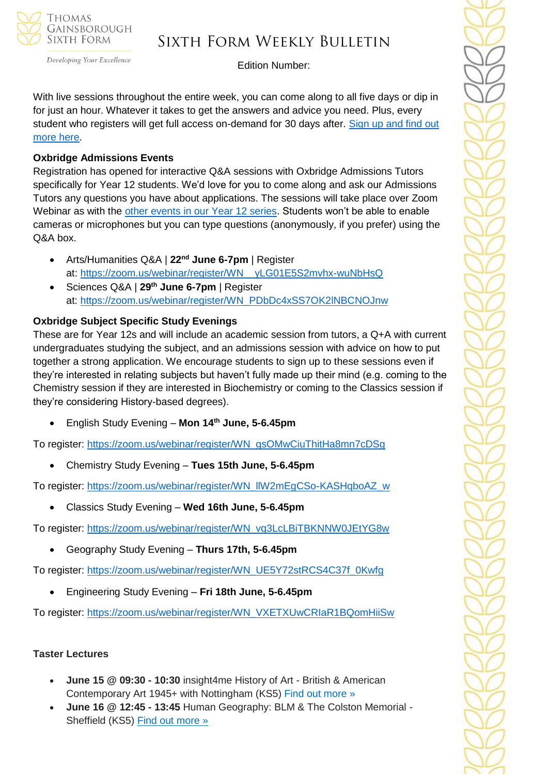

Developing Your Excellence

## Sixth Form Weekly Bulletin

Edition Number:

With live sessions throughout the entire week, you can come along to all five days or dip in for just an hour. Whatever it takes to get the answers and advice you need. Plus, every student who registers will get full access on-demand for 30 days after. Sign up and find out [more here.](https://www.ucas.com/registration?reference=event-393976)

#### **Oxbridge Admissions Events**

Registration has opened for interactive Q&A sessions with Oxbridge Admissions Tutors specifically for Year 12 students. We'd love for you to come along and ask our Admissions Tutors any questions you have about applications. The sessions will take place over Zoom Webinar as with the [other events in our Year 12 series.](https://www.caths.cam.ac.uk/outreach/year-12-to-13-webinar-series) Students won't be able to enable cameras or microphones but you can type questions (anonymously, if you prefer) using the Q&A box.

- Arts/Humanities Q&A | **22nd June 6-7pm** | Register at: [https://zoom.us/webinar/register/WN\\_\\_yLG01E5S2mvhx-wuNbHsQ](https://zoom.us/webinar/register/WN__yLG01E5S2mvhx-wuNbHsQ)
- Sciences Q&A | **29th June 6-7pm** | Register at: [https://zoom.us/webinar/register/WN\\_PDbDc4xSS7OK2lNBCNOJnw](https://zoom.us/webinar/register/WN_PDbDc4xSS7OK2lNBCNOJnw)

#### **Oxbridge Subject Specific Study Evenings**

These are for Year 12s and will include an academic session from tutors, a Q+A with current undergraduates studying the subject, and an admissions session with advice on how to put together a strong application. We encourage students to sign up to these sessions even if they're interested in relating subjects but haven't fully made up their mind (e.g. coming to the Chemistry session if they are interested in Biochemistry or coming to the Classics session if they're considering History-based degrees).

• English Study Evening – **Mon 14th June, 5-6.45pm**

To register: [https://zoom.us/webinar/register/WN\\_gsOMwCiuThitHa8mn7cDSg](https://zoom.us/webinar/register/WN_gsOMwCiuThitHa8mn7cDSg)

• Chemistry Study Evening – **Tues 15th June, 5-6.45pm**

To register: [https://zoom.us/webinar/register/WN\\_llW2mEgCSo-KASHqboAZ\\_w](https://zoom.us/webinar/register/WN_llW2mEgCSo-KASHqboAZ_w)

• Classics Study Evening – **Wed 16th June, 5-6.45pm**

To register: [https://zoom.us/webinar/register/WN\\_vq3LcLBiTBKNNW0JEtYG8w](https://zoom.us/webinar/register/WN_vq3LcLBiTBKNNW0JEtYG8w)

• Geography Study Evening – **Thurs 17th, 5-6.45pm**

To register: [https://zoom.us/webinar/register/WN\\_UE5Y72stRCS4C37f\\_0Kwfg](https://zoom.us/webinar/register/WN_UE5Y72stRCS4C37f_0Kwfg)

• Engineering Study Evening – **Fri 18th June, 5-6.45pm**

To register: [https://zoom.us/webinar/register/WN\\_VXETXUwCRIaR1BQomHiiSw](https://zoom.us/webinar/register/WN_VXETXUwCRIaR1BQomHiiSw)

#### **Taster Lectures**

- **June 15 @ 09:30 - 10:30** insight4me History of Art British & American Contemporary Art 1945+ with Nottingham (KS5) [Find out more »](https://channeltalent.us10.list-manage.com/track/click?u=145837fa6843e0c349598322a&id=37dca15575&e=155232616c)
- **June 16 @ 12:45 - 13:45** Human Geography: BLM & The Colston Memorial Sheffield (KS5) [Find out more »](https://channeltalent.us10.list-manage.com/track/click?u=145837fa6843e0c349598322a&id=8d9a689481&e=ba0e9a2959)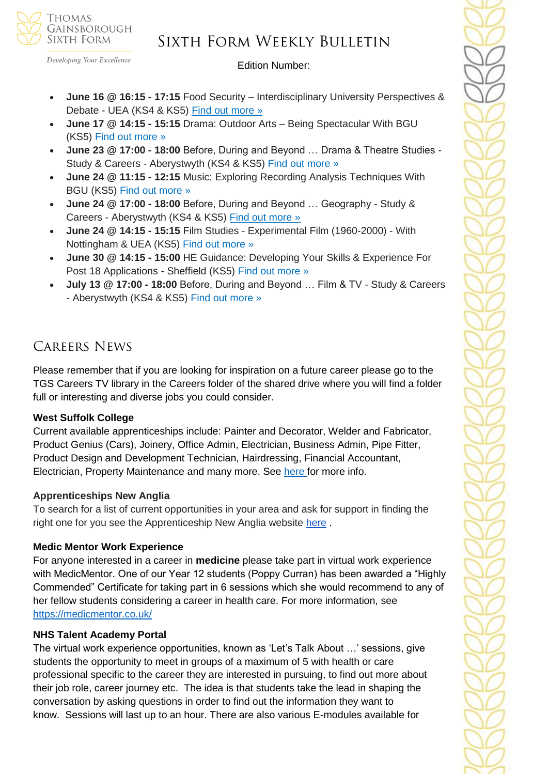

Developing Your Excellence

Edition Number:

- **June 16 @ 16:15 - 17:15** Food Security Interdisciplinary University Perspectives & Debate - UEA (KS4 & KS5) [Find out more »](https://channeltalent.us10.list-manage.com/track/click?u=145837fa6843e0c349598322a&id=fc42d6840a&e=ba0e9a2959)
- **June 17 @ 14:15 - 15:15** Drama: Outdoor Arts Being Spectacular With BGU (KS5) [Find out more »](https://channeltalent.us10.list-manage.com/track/click?u=145837fa6843e0c349598322a&id=ba4e86689b&e=155232616c)
- **June 23 @ 17:00 - 18:00** Before, During and Beyond … Drama & Theatre Studies Study & Careers - Aberystwyth (KS4 & KS5) [Find out more »](https://channeltalent.us10.list-manage.com/track/click?u=145837fa6843e0c349598322a&id=81f0757071&e=155232616c)
- **June 24 @ 11:15 - 12:15** Music: Exploring Recording Analysis Techniques With BGU (KS5) [Find out more »](https://channeltalent.us10.list-manage.com/track/click?u=145837fa6843e0c349598322a&id=54046201da&e=155232616c)
- **June 24 @ 17:00 - 18:00** Before, During and Beyond … Geography Study & Careers - Aberystwyth (KS4 & KS5) [Find out more »](https://channeltalent.us10.list-manage.com/track/click?u=145837fa6843e0c349598322a&id=f2807458ca&e=ba0e9a2959)
- **June 24 @ 14:15 - 15:15** Film Studies Experimental Film (1960-2000) With Nottingham & UEA (KS5) [Find out more »](https://channeltalent.us10.list-manage.com/track/click?u=145837fa6843e0c349598322a&id=55968f6c6f&e=155232616c)
- **June 30 @ 14:15 - 15:00** HE Guidance: Developing Your Skills & Experience For Post 18 Applications - Sheffield (KS5) [Find out more »](https://channeltalent.us10.list-manage.com/track/click?u=145837fa6843e0c349598322a&id=173131be7a&e=155232616c)
- **July 13 @ 17:00 - 18:00** Before, During and Beyond … Film & TV Study & Careers - Aberystwyth (KS4 & KS5) [Find out more »](https://channeltalent.us10.list-manage.com/track/click?u=145837fa6843e0c349598322a&id=83c38d63e7&e=155232616c)

### Careers News

Please remember that if you are looking for inspiration on a future career please go to the TGS Careers TV library in the Careers folder of the shared drive where you will find a folder full or interesting and diverse jobs you could consider.

### **West Suffolk College**

Current available apprenticeships include: Painter and Decorator, Welder and Fabricator, Product Genius (Cars), Joinery, Office Admin, Electrician, Business Admin, Pipe Fitter, Product Design and Development Technician, Hairdressing, Financial Accountant, Electrician, Property Maintenance and many more. See [here f](https://apprenticeships.wsc.ac.uk/)or more info.

#### **Apprenticeships New Anglia**

To search for a list of current opportunities in your area and ask for support in finding the right one for you see the Apprenticeship New Anglia website [here](https://v2.apprenticeshipsnewanglia.co.uk/apprenticeships/search/?s_location=&s_distance=30) .

#### **Medic Mentor Work Experience**

For anyone interested in a career in **medicine** please take part in virtual work experience with MedicMentor. One of our Year 12 students (Poppy Curran) has been awarded a "Highly Commended" Certificate for taking part in 6 sessions which she would recommend to any of her fellow students considering a career in health care. For more information, see <https://medicmentor.co.uk/>

### **NHS Talent Academy Portal**

The virtual work experience opportunities, known as 'Let's Talk About …' sessions, give students the opportunity to meet in groups of a maximum of 5 with health or care professional specific to the career they are interested in pursuing, to find out more about their job role, career journey etc. The idea is that students take the lead in shaping the conversation by asking questions in order to find out the information they want to know. Sessions will last up to an hour. There are also various E-modules available for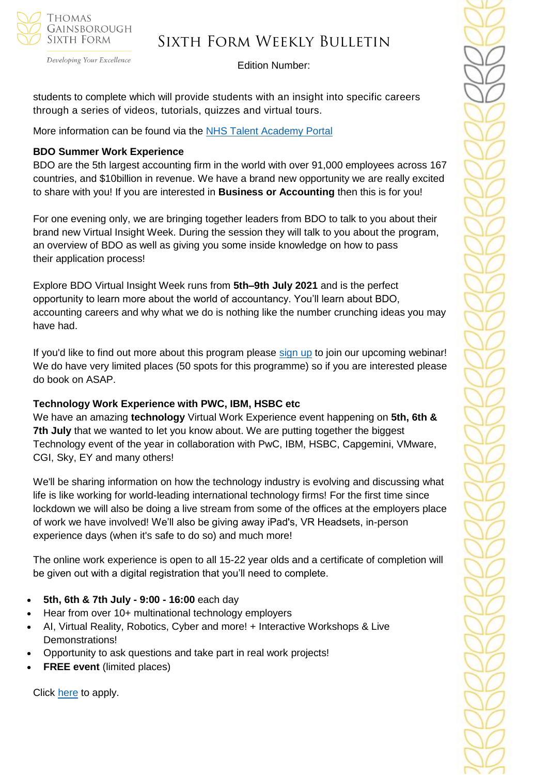

Developing Your Excellence

#### Edition Number:

students to complete which will provide students with an insight into specific careers through a series of videos, tutorials, quizzes and virtual tours.

More information can be found via the [NHS Talent Academy Portal](https://nhstalentacademy.org.uk/work-experience/)

#### **BDO Summer Work Experience**

BDO are the 5th largest accounting firm in the world with over 91,000 employees across 167 countries, and \$10billion in revenue. We have a brand new opportunity we are really excited to share with you! If you are interested in **Business or Accounting** then this is for you!

For one evening only, we are bringing together leaders from BDO to talk to you about their brand new Virtual Insight Week. During the session they will talk to you about the program, an overview of BDO as well as giving you some inside knowledge on how to pass their application process!

Explore BDO Virtual Insight Week runs from **5th–9th July 2021** and is the perfect opportunity to learn more about the world of accountancy. You'll learn about BDO, accounting careers and why what we do is nothing like the number crunching ideas you may have had.

If you'd like to find out more about this program please [sign up](https://www.research.net/r/Explore-BDO) to join our upcoming webinar! We do have very limited places (50 spots for this programme) so if you are interested please do book on ASAP.

### **Technology Work Experience with PWC, IBM, HSBC etc**

We have an amazing **technology** Virtual Work Experience event happening on **5th, 6th & 7th July** that we wanted to let you know about. We are putting together the biggest Technology event of the year in collaboration with PwC, IBM, HSBC, Capgemini, VMware, CGI, Sky, EY and many others!

We'll be sharing information on how the technology industry is evolving and discussing what life is like working for world-leading international technology firms! For the first time since lockdown we will also be doing a live stream from some of the offices at the employers place of work we have involved! We'll also be giving away iPad's, VR Headsets, in-person experience days (when it's safe to do so) and much more!

The online work experience is open to all 15-22 year olds and a certificate of completion will be given out with a digital registration that you'll need to complete.

- **5th, 6th & 7th July - 9:00 - 16:00** each day
- Hear from over 10+ multinational technology employers
- AI, Virtual Reality, Robotics, Cyber and more! + Interactive Workshops & Live Demonstrations!
- Opportunity to ask questions and take part in real work projects!
- **FREE event** (limited places)

Click [here](https://www.research.net/r/Tech-Work-Experience) to apply.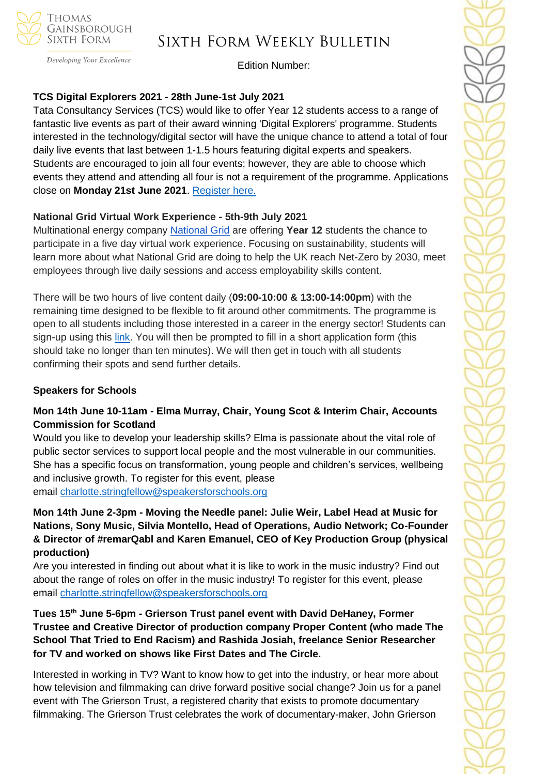

#### Developing Your Excellence

## Sixth Form Weekly Bulletin

Edition Number:

#### **TCS Digital Explorers 2021 - 28th June-1st July 2021**

Tata Consultancy Services (TCS) would like to offer Year 12 students access to a range of fantastic live events as part of their award winning 'Digital Explorers' programme. Students interested in the technology/digital sector will have the unique chance to attend a total of four daily live events that last between 1-1.5 hours featuring digital experts and speakers. Students are encouraged to join all four events; however, they are able to choose which events they attend and attending all four is not a requirement of the programme. Applications close on **Monday 21st June 2021**. [Register here.](https://docs.google.com/forms/d/e/1FAIpQLSdGoqEZ5oWrb6YKsH8d4oNC3i4XD5DTArDYEPgL7Gyh2XXqyw/viewform)

#### **National Grid Virtual Work Experience - 5th-9th July 2021**

Multinational energy company [National Grid](https://go.mykindafuture.com/e/832393/2021-06-10/51536i/170092341?h=exy8NWNhpJj4Nk6A5vsXUxQ9-gM5_ClqhPnjasXrT-w) are offering **Year 12** students the chance to participate in a five day virtual work experience. Focusing on sustainability, students will learn more about what National Grid are doing to help the UK reach Net-Zero by 2030, meet employees through live daily sessions and access employability skills content.

There will be two hours of live content daily (**09:00-10:00 & 13:00-14:00pm**) with the remaining time designed to be flexible to fit around other commitments. The programme is open to all students including those interested in a career in the energy sector! Students can sign-up using this [link.](https://nationalgrid.connectr.co.uk/VWEX/) You will then be prompted to fill in a short application form (this should take no longer than ten minutes). We will then get in touch with all students confirming their spots and send further details.

#### **Speakers for Schools**

#### **Mon 14th June 10-11am - Elma Murray, Chair, Young Scot & Interim Chair, Accounts Commission for Scotland**

Would you like to develop your leadership skills? Elma is passionate about the vital role of public sector services to support local people and the most vulnerable in our communities. She has a specific focus on transformation, young people and children's services, wellbeing and inclusive growth. To register for this event, please email [charlotte.stringfellow@speakersforschools.org](mailto:charlotte.stringfellow@speakersforschools.org)

**Mon 14th June 2-3pm - Moving the Needle panel: Julie Weir, Label Head at Music for Nations, Sony Music, Silvia Montello, Head of Operations, Audio Network; Co-Founder & Director of #remarQabl and Karen Emanuel, CEO of Key Production Group (physical production)**

Are you interested in finding out about what it is like to work in the music industry? Find out about the range of roles on offer in the music industry! To register for this event, please email [charlotte.stringfellow@speakersforschools.org](mailto:charlotte.stringfellow@speakersforschools.org)

**Tues 15th June 5-6pm - Grierson Trust panel event with David DeHaney, Former Trustee and Creative Director of production company Proper Content (who made The School That Tried to End Racism) and Rashida Josiah, freelance Senior Researcher for TV and worked on shows like First Dates and The Circle.**

Interested in working in TV? Want to know how to get into the industry, or hear more about how television and filmmaking can drive forward positive social change? Join us for a panel event with The Grierson Trust, a registered charity that exists to promote documentary filmmaking. The Grierson Trust celebrates the work of documentary-maker, John Grierson